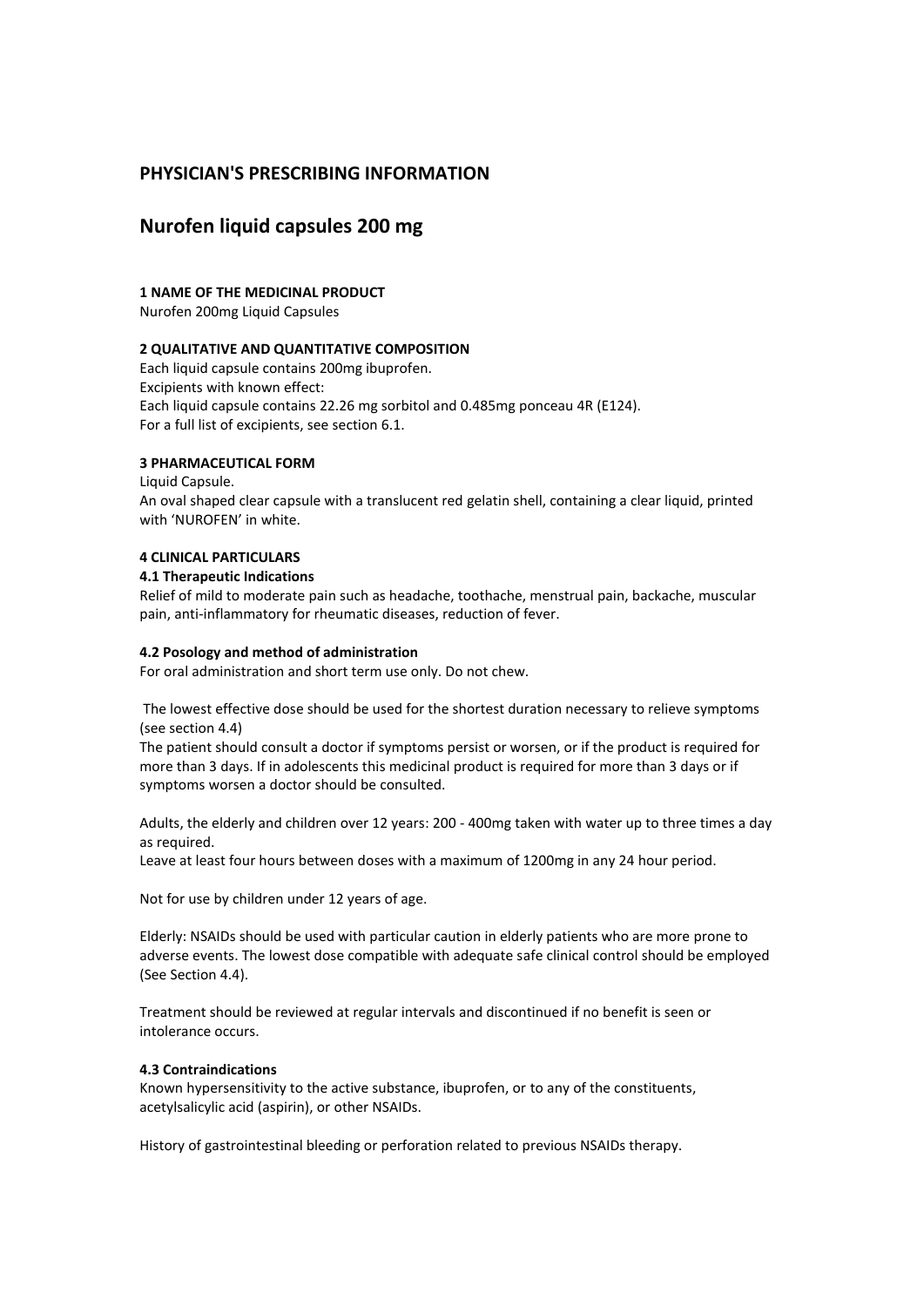# **PHYSICIAN'S PRESCRIBING INFORMATION**

# **Nurofen liquid capsules 200 mg**

## **1 NAME OF THE MEDICINAL PRODUCT**

Nurofen 200mg Liquid Capsules

## **2 QUALITATIVE AND QUANTITATIVE COMPOSITION**

Each liquid capsule contains 200mg ibuprofen. Excipients with known effect: Each liquid capsule contains 22.26 mg sorbitol and 0.485mg ponceau 4R (E124). For a full list of excipients, see section 6.1.

## **3 PHARMACEUTICAL FORM**

Liquid Capsule.

An oval shaped clear capsule with a translucent red gelatin shell, containing a clear liquid, printed with 'NUROFEN' in white.

## **4 CLINICAL PARTICULARS**

## **4.1 Therapeutic Indications**

Relief of mild to moderate pain such as headache, toothache, menstrual pain, backache, muscular pain, anti-inflammatory for rheumatic diseases, reduction of fever.

## **4.2 Posology and method of administration**

For oral administration and short term use only. Do not chew.

The lowest effective dose should be used for the shortest duration necessary to relieve symptoms (see section 4.4)

The patient should consult a doctor if symptoms persist or worsen, or if the product is required for more than 3 days. If in adolescents this medicinal product is required for more than 3 days or if symptoms worsen a doctor should be consulted.

Adults, the elderly and children over 12 years: 200 - 400mg taken with water up to three times a day as required.

Leave at least four hours between doses with a maximum of 1200mg in any 24 hour period.

Not for use by children under 12 years of age.

Elderly: NSAIDs should be used with particular caution in elderly patients who are more prone to adverse events. The lowest dose compatible with adequate safe clinical control should be employed (See Section 4.4).

Treatment should be reviewed at regular intervals and discontinued if no benefit is seen or intolerance occurs.

## **4.3 Contraindications**

Known hypersensitivity to the active substance, ibuprofen, or to any of the constituents, acetylsalicylic acid (aspirin), or other NSAIDs.

History of gastrointestinal bleeding or perforation related to previous NSAIDs therapy.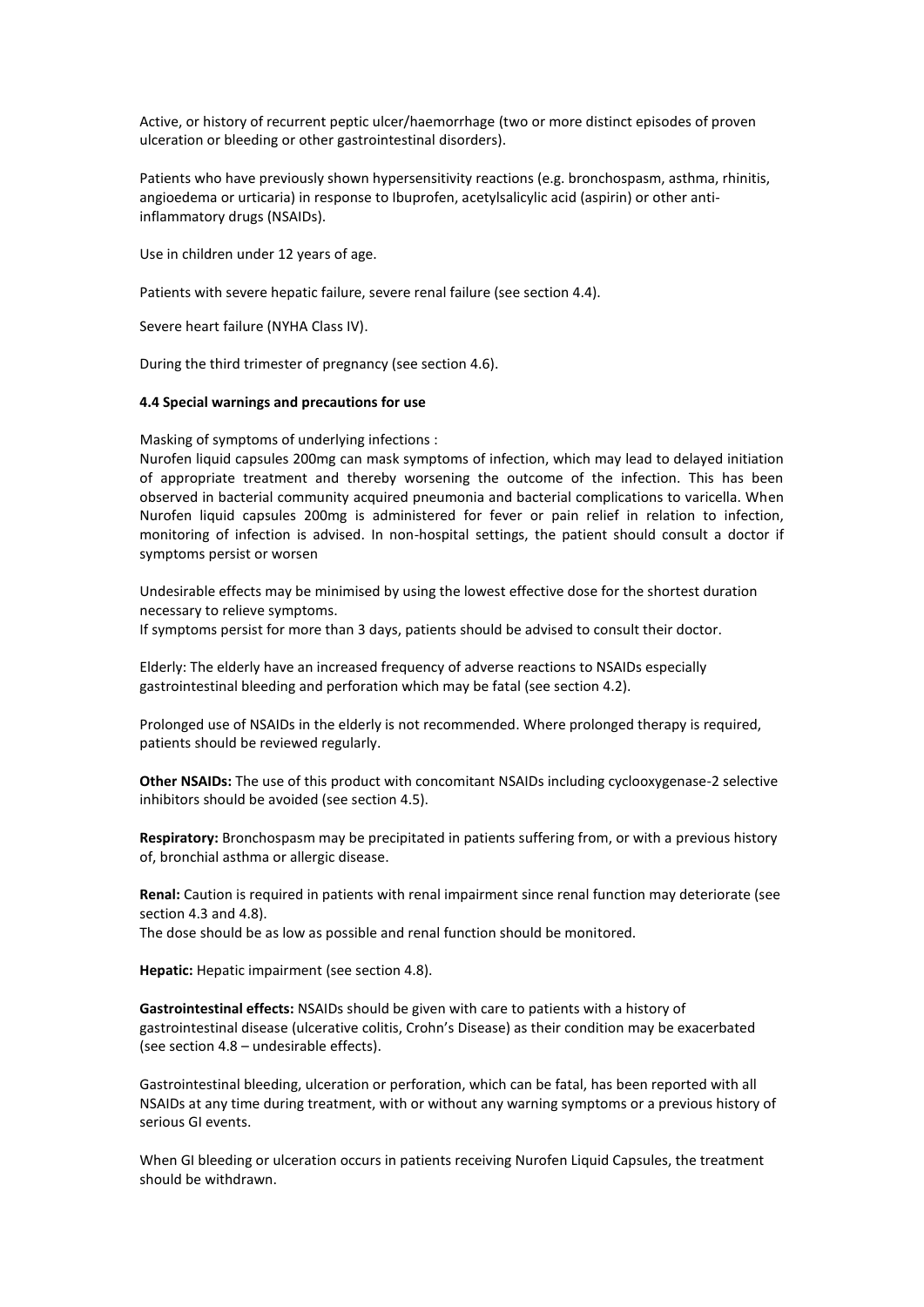Active, or history of recurrent peptic ulcer/haemorrhage (two or more distinct episodes of proven ulceration or bleeding or other gastrointestinal disorders).

Patients who have previously shown hypersensitivity reactions (e.g. bronchospasm, asthma, rhinitis, angioedema or urticaria) in response to Ibuprofen, acetylsalicylic acid (aspirin) or other antiinflammatory drugs (NSAIDs).

Use in children under 12 years of age.

Patients with severe hepatic failure, severe renal failure (see section 4.4).

Severe heart failure (NYHA Class IV).

During the third trimester of pregnancy (see section 4.6).

### **4.4 Special warnings and precautions for use**

Masking of symptoms of underlying infections :

Nurofen liquid capsules 200mg can mask symptoms of infection, which may lead to delayed initiation of appropriate treatment and thereby worsening the outcome of the infection. This has been observed in bacterial community acquired pneumonia and bacterial complications to varicella. When Nurofen liquid capsules 200mg is administered for fever or pain relief in relation to infection, monitoring of infection is advised. In non-hospital settings, the patient should consult a doctor if symptoms persist or worsen

Undesirable effects may be minimised by using the lowest effective dose for the shortest duration necessary to relieve symptoms. If symptoms persist for more than 3 days, patients should be advised to consult their doctor.

Elderly: The elderly have an increased frequency of adverse reactions to NSAIDs especially gastrointestinal bleeding and perforation which may be fatal (see section 4.2).

Prolonged use of NSAIDs in the elderly is not recommended. Where prolonged therapy is required, patients should be reviewed regularly.

**Other NSAIDs:** The use of this product with concomitant NSAIDs including cyclooxygenase-2 selective inhibitors should be avoided (see section 4.5).

**Respiratory:** Bronchospasm may be precipitated in patients suffering from, or with a previous history of, bronchial asthma or allergic disease.

**Renal:** Caution is required in patients with renal impairment since renal function may deteriorate (see section 4.3 and 4.8).

The dose should be as low as possible and renal function should be monitored.

**Hepatic:** Hepatic impairment (see section 4.8).

**Gastrointestinal effects:** NSAIDs should be given with care to patients with a history of gastrointestinal disease (ulcerative colitis, Crohn's Disease) as their condition may be exacerbated (see section 4.8 – undesirable effects).

Gastrointestinal bleeding, ulceration or perforation, which can be fatal, has been reported with all NSAIDs at any time during treatment, with or without any warning symptoms or a previous history of serious GI events.

When GI bleeding or ulceration occurs in patients receiving Nurofen Liquid Capsules, the treatment should be withdrawn.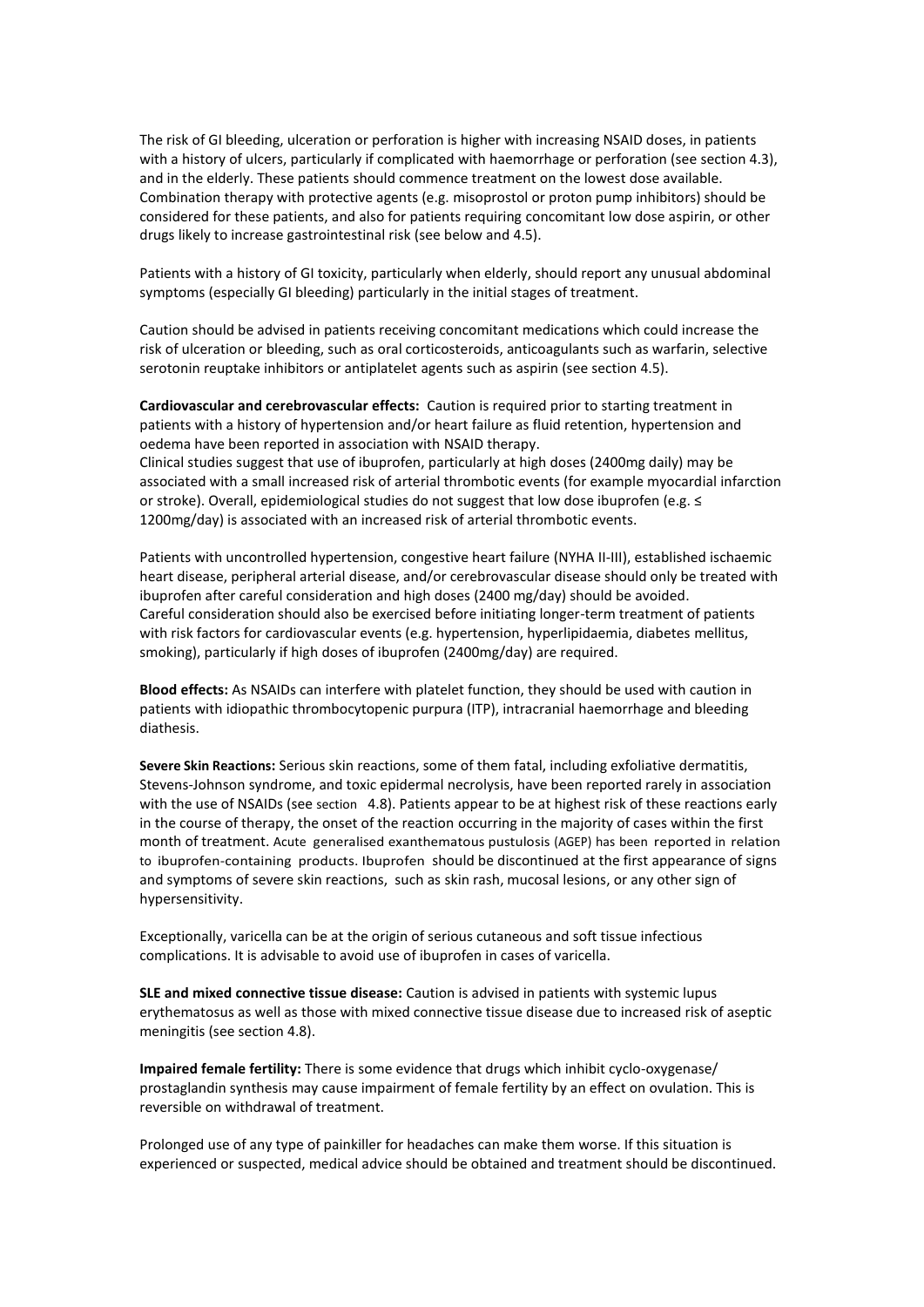The risk of GI bleeding, ulceration or perforation is higher with increasing NSAID doses, in patients with a history of ulcers, particularly if complicated with haemorrhage or perforation (see section 4.3), and in the elderly. These patients should commence treatment on the lowest dose available. Combination therapy with protective agents (e.g. misoprostol or proton pump inhibitors) should be considered for these patients, and also for patients requiring concomitant low dose aspirin, or other drugs likely to increase gastrointestinal risk (see below and 4.5).

Patients with a history of GI toxicity, particularly when elderly, should report any unusual abdominal symptoms (especially GI bleeding) particularly in the initial stages of treatment.

Caution should be advised in patients receiving concomitant medications which could increase the risk of ulceration or bleeding, such as oral corticosteroids, anticoagulants such as warfarin, selective serotonin reuptake inhibitors or antiplatelet agents such as aspirin (see section 4.5).

**Cardiovascular and cerebrovascular effects:** Caution is required prior to starting treatment in patients with a history of hypertension and/or heart failure as fluid retention, hypertension and oedema have been reported in association with NSAID therapy. Clinical studies suggest that use of ibuprofen, particularly at high doses (2400mg daily) may be associated with a small increased risk of arterial thrombotic events (for example myocardial infarction or stroke). Overall, epidemiological studies do not suggest that low dose ibuprofen (e.g. ≤ 1200mg/day) is associated with an increased risk of arterial thrombotic events.

Patients with uncontrolled hypertension, congestive heart failure (NYHA II-III), established ischaemic heart disease, peripheral arterial disease, and/or cerebrovascular disease should only be treated with ibuprofen after careful consideration and high doses (2400 mg/day) should be avoided. Careful consideration should also be exercised before initiating longer-term treatment of patients with risk factors for cardiovascular events (e.g. hypertension, hyperlipidaemia, diabetes mellitus, smoking), particularly if high doses of ibuprofen (2400mg/day) are required.

**Blood effects:** As NSAIDs can interfere with platelet function, they should be used with caution in patients with idiopathic thrombocytopenic purpura (ITP), intracranial haemorrhage and bleeding diathesis.

**Severe Skin Reactions:** Serious skin reactions, some of them fatal, including exfoliative dermatitis, Stevens-Johnson syndrome, and toxic epidermal necrolysis, have been reported rarely in association with the use of NSAIDs (see section 4.8). Patients appear to be at highest risk of these reactions early in the course of therapy, the onset of the reaction occurring in the majority of cases within the first month of treatment. Acute generalised exanthematous pustulosis (AGEP) has been reported in relation to ibuprofen-containing products. Ibuprofen should be discontinued at the first appearance of signs and symptoms of severe skin reactions, such as skin rash, mucosal lesions, or any other sign of hypersensitivity.

Exceptionally, varicella can be at the origin of serious cutaneous and soft tissue infectious complications. It is advisable to avoid use of ibuprofen in cases of varicella.

**SLE and mixed connective tissue disease:** Caution is advised in patients with systemic lupus erythematosus as well as those with mixed connective tissue disease due to increased risk of aseptic meningitis (see section 4.8).

**Impaired female fertility:** There is some evidence that drugs which inhibit cyclo-oxygenase/ prostaglandin synthesis may cause impairment of female fertility by an effect on ovulation. This is reversible on withdrawal of treatment.

Prolonged use of any type of painkiller for headaches can make them worse. If this situation is experienced or suspected, medical advice should be obtained and treatment should be discontinued.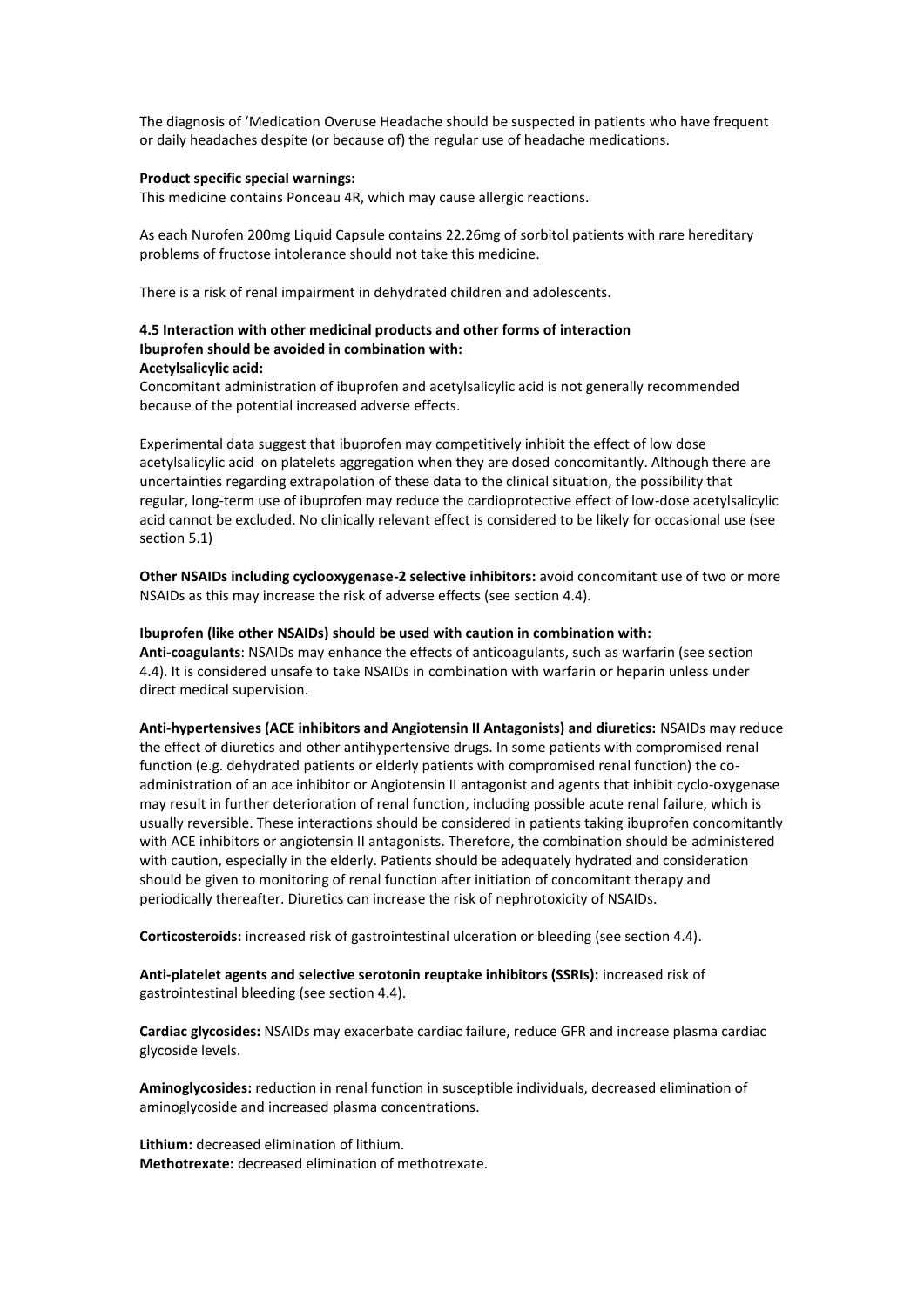The diagnosis of 'Medication Overuse Headache should be suspected in patients who have frequent or daily headaches despite (or because of) the regular use of headache medications.

#### **Product specific special warnings:**

This medicine contains Ponceau 4R, which may cause allergic reactions.

As each Nurofen 200mg Liquid Capsule contains 22.26mg of sorbitol patients with rare hereditary problems of fructose intolerance should not take this medicine.

There is a risk of renal impairment in dehydrated children and adolescents.

## **4.5 Interaction with other medicinal products and other forms of interaction Ibuprofen should be avoided in combination with: Acetylsalicylic acid:**

Concomitant administration of ibuprofen and acetylsalicylic acid is not generally recommended because of the potential increased adverse effects.

Experimental data suggest that ibuprofen may competitively inhibit the effect of low dose acetylsalicylic acid on platelets aggregation when they are dosed concomitantly. Although there are uncertainties regarding extrapolation of these data to the clinical situation, the possibility that regular, long-term use of ibuprofen may reduce the cardioprotective effect of low-dose acetylsalicylic acid cannot be excluded. No clinically relevant effect is considered to be likely for occasional use (see section 5.1)

**Other NSAIDs including cyclooxygenase-2 selective inhibitors:** avoid concomitant use of two or more NSAIDs as this may increase the risk of adverse effects (see section 4.4).

#### **Ibuprofen (like other NSAIDs) should be used with caution in combination with:**

**Anti-coagulants**: NSAIDs may enhance the effects of anticoagulants, such as warfarin (see section 4.4). It is considered unsafe to take NSAIDs in combination with warfarin or heparin unless under direct medical supervision.

**Anti-hypertensives (ACE inhibitors and Angiotensin II Antagonists) and diuretics:** NSAIDs may reduce the effect of diuretics and other antihypertensive drugs. In some patients with compromised renal function (e.g. dehydrated patients or elderly patients with compromised renal function) the coadministration of an ace inhibitor or Angiotensin II antagonist and agents that inhibit cyclo-oxygenase may result in further deterioration of renal function, including possible acute renal failure, which is usually reversible. These interactions should be considered in patients taking ibuprofen concomitantly with ACE inhibitors or angiotensin II antagonists. Therefore, the combination should be administered with caution, especially in the elderly. Patients should be adequately hydrated and consideration should be given to monitoring of renal function after initiation of concomitant therapy and periodically thereafter. Diuretics can increase the risk of nephrotoxicity of NSAIDs.

**Corticosteroids:** increased risk of gastrointestinal ulceration or bleeding (see section 4.4).

**Anti-platelet agents and selective serotonin reuptake inhibitors (SSRIs):** increased risk of gastrointestinal bleeding (see section 4.4).

**Cardiac glycosides:** NSAIDs may exacerbate cardiac failure, reduce GFR and increase plasma cardiac glycoside levels.

**Aminoglycosides:** reduction in renal function in susceptible individuals, decreased elimination of aminoglycoside and increased plasma concentrations.

**Lithium:** decreased elimination of lithium. **Methotrexate:** decreased elimination of methotrexate.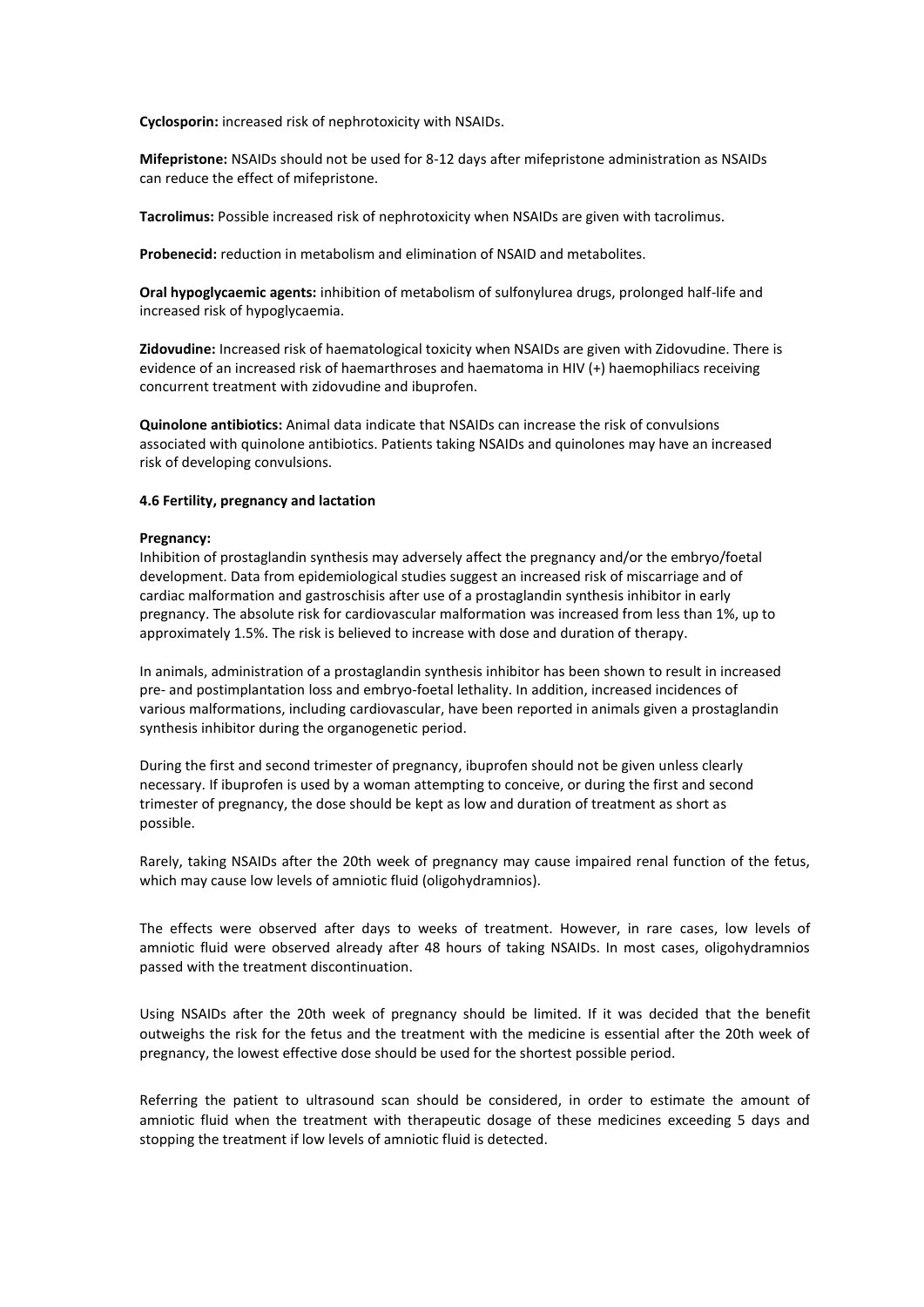**Cyclosporin:** increased risk of nephrotoxicity with NSAIDs.

**Mifepristone:** NSAIDs should not be used for 8-12 days after mifepristone administration as NSAIDs can reduce the effect of mifepristone.

**Tacrolimus:** Possible increased risk of nephrotoxicity when NSAIDs are given with tacrolimus.

**Probenecid:** reduction in metabolism and elimination of NSAID and metabolites.

**Oral hypoglycaemic agents:** inhibition of metabolism of sulfonylurea drugs, prolonged half-life and increased risk of hypoglycaemia.

**Zidovudine:** Increased risk of haematological toxicity when NSAIDs are given with Zidovudine. There is evidence of an increased risk of haemarthroses and haematoma in HIV (+) haemophiliacs receiving concurrent treatment with zidovudine and ibuprofen.

**Quinolone antibiotics:** Animal data indicate that NSAIDs can increase the risk of convulsions associated with quinolone antibiotics. Patients taking NSAIDs and quinolones may have an increased risk of developing convulsions.

## **4.6 Fertility, pregnancy and lactation**

#### **Pregnancy:**

Inhibition of prostaglandin synthesis may adversely affect the pregnancy and/or the embryo/foetal development. Data from epidemiological studies suggest an increased risk of miscarriage and of cardiac malformation and gastroschisis after use of a prostaglandin synthesis inhibitor in early pregnancy. The absolute risk for cardiovascular malformation was increased from less than 1%, up to approximately 1.5%. The risk is believed to increase with dose and duration of therapy.

In animals, administration of a prostaglandin synthesis inhibitor has been shown to result in increased pre- and postimplantation loss and embryo-foetal lethality. In addition, increased incidences of various malformations, including cardiovascular, have been reported in animals given a prostaglandin synthesis inhibitor during the organogenetic period.

During the first and second trimester of pregnancy, ibuprofen should not be given unless clearly necessary. If ibuprofen is used by a woman attempting to conceive, or during the first and second trimester of pregnancy, the dose should be kept as low and duration of treatment as short as possible.

Rarely, taking NSAIDs after the 20th week of pregnancy may cause impaired renal function of the fetus, which may cause low levels of amniotic fluid (oligohydramnios).

The effects were observed after days to weeks of treatment. However, in rare cases, low levels of amniotic fluid were observed already after 48 hours of taking NSAIDs. In most cases, oligohydramnios passed with the treatment discontinuation.

Using NSAIDs after the 20th week of pregnancy should be limited. If it was decided that the benefit outweighs the risk for the fetus and the treatment with the medicine is essential after the 20th week of pregnancy, the lowest effective dose should be used for the shortest possible period.

Referring the patient to ultrasound scan should be considered, in order to estimate the amount of amniotic fluid when the treatment with therapeutic dosage of these medicines exceeding 5 days and stopping the treatment if low levels of amniotic fluid is detected.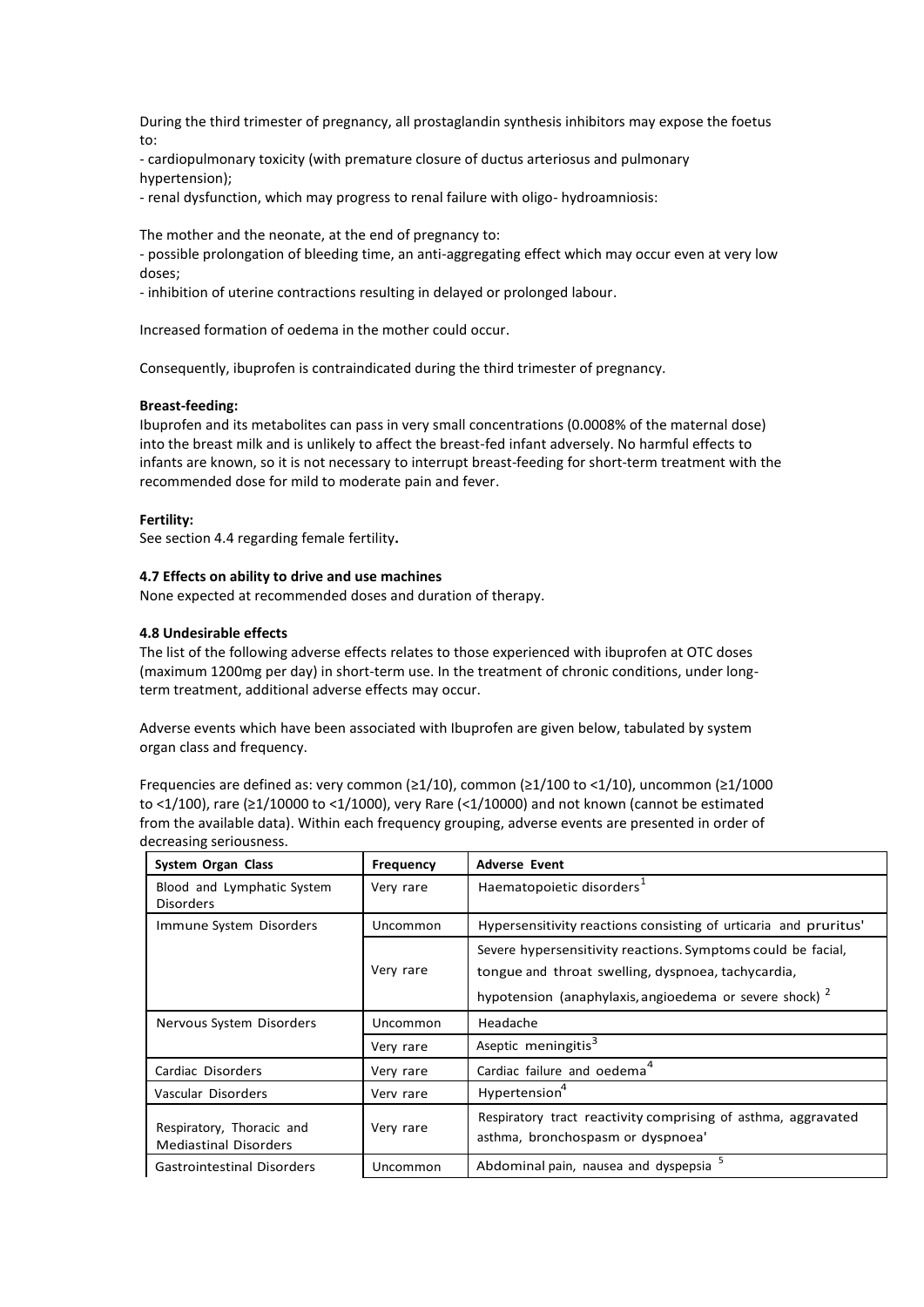During the third trimester of pregnancy, all prostaglandin synthesis inhibitors may expose the foetus to:

- cardiopulmonary toxicity (with premature closure of ductus arteriosus and pulmonary hypertension);

- renal dysfunction, which may progress to renal failure with oligo- hydroamniosis:

The mother and the neonate, at the end of pregnancy to:

- possible prolongation of bleeding time, an anti-aggregating effect which may occur even at very low doses;

- inhibition of uterine contractions resulting in delayed or prolonged labour.

Increased formation of oedema in the mother could occur.

Consequently, ibuprofen is contraindicated during the third trimester of pregnancy.

#### **Breast-feeding:**

Ibuprofen and its metabolites can pass in very small concentrations (0.0008% of the maternal dose) into the breast milk and is unlikely to affect the breast-fed infant adversely. No harmful effects to infants are known, so it is not necessary to interrupt breast-feeding for short-term treatment with the recommended dose for mild to moderate pain and fever.

#### **Fertility:**

See section 4.4 regarding female fertility**.**

#### **4.7 Effects on ability to drive and use machines**

None expected at recommended doses and duration of therapy.

#### **4.8 Undesirable effects**

The list of the following adverse effects relates to those experienced with ibuprofen at OTC doses (maximum 1200mg per day) in short-term use. In the treatment of chronic conditions, under longterm treatment, additional adverse effects may occur.

Adverse events which have been associated with Ibuprofen are given below, tabulated by system organ class and frequency.

Frequencies are defined as: very common (≥1/10), common (≥1/100 to <1/10), uncommon (≥1/1000 to <1/100), rare (≥1/10000 to <1/1000), very Rare (<1/10000) and not known (cannot be estimated from the available data). Within each frequency grouping, adverse events are presented in order of decreasing seriousness.

| System Organ Class                                        | Frequency | <b>Adverse Event</b>                                                                                                                                                                     |
|-----------------------------------------------------------|-----------|------------------------------------------------------------------------------------------------------------------------------------------------------------------------------------------|
| Blood and Lymphatic System<br><b>Disorders</b>            | Very rare | Haematopoietic disorders <sup>1</sup>                                                                                                                                                    |
| Immune System Disorders                                   | Uncommon  | Hypersensitivity reactions consisting of urticaria and pruritus'                                                                                                                         |
|                                                           | Very rare | Severe hypersensitivity reactions. Symptoms could be facial,<br>tongue and throat swelling, dyspnoea, tachycardia,<br>hypotension (anaphylaxis, angioedema or severe shock) <sup>2</sup> |
| Nervous System Disorders                                  | Uncommon  | Headache                                                                                                                                                                                 |
|                                                           | Very rare | Aseptic meningitis <sup>3</sup>                                                                                                                                                          |
| Cardiac Disorders                                         | Very rare | Cardiac failure and oedema <sup>4</sup>                                                                                                                                                  |
| Vascular Disorders                                        | Verv rare | Hypertension <sup>4</sup>                                                                                                                                                                |
| Respiratory, Thoracic and<br><b>Mediastinal Disorders</b> | Very rare | Respiratory tract reactivity comprising of asthma, aggravated<br>asthma, bronchospasm or dyspnoea'                                                                                       |
| <b>Gastrointestinal Disorders</b>                         | Uncommon  | Abdominal pain, nausea and dyspepsia                                                                                                                                                     |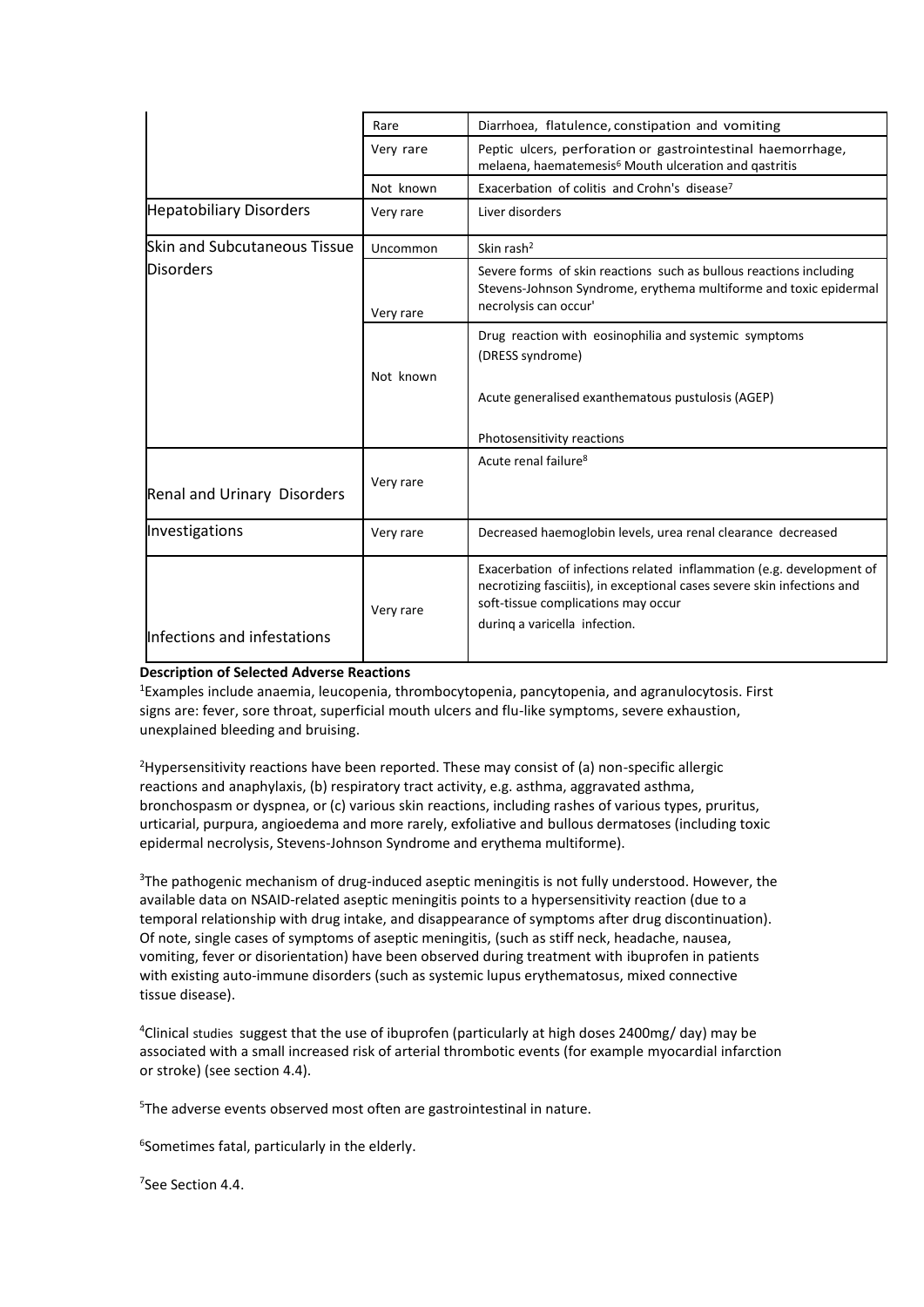|                                     | Rare      | Diarrhoea, flatulence, constipation and vomiting                                                                                                                                                                        |
|-------------------------------------|-----------|-------------------------------------------------------------------------------------------------------------------------------------------------------------------------------------------------------------------------|
|                                     | Very rare | Peptic ulcers, perforation or gastrointestinal haemorrhage,<br>melaena, haematemesis <sup>6</sup> Mouth ulceration and qastritis                                                                                        |
|                                     | Not known | Exacerbation of colitis and Crohn's disease <sup>7</sup>                                                                                                                                                                |
| <b>Hepatobiliary Disorders</b>      | Very rare | Liver disorders                                                                                                                                                                                                         |
| <b>Skin and Subcutaneous Tissue</b> | Uncommon  | Skin rash <sup>2</sup>                                                                                                                                                                                                  |
| <b>Disorders</b>                    | Very rare | Severe forms of skin reactions such as bullous reactions including<br>Stevens-Johnson Syndrome, erythema multiforme and toxic epidermal<br>necrolysis can occur'                                                        |
|                                     | Not known | Drug reaction with eosinophilia and systemic symptoms<br>(DRESS syndrome)<br>Acute generalised exanthematous pustulosis (AGEP)<br>Photosensitivity reactions                                                            |
| Renal and Urinary Disorders         | Very rare | Acute renal failure <sup>8</sup>                                                                                                                                                                                        |
| Investigations                      | Very rare | Decreased haemoglobin levels, urea renal clearance decreased                                                                                                                                                            |
| Infections and infestations         | Very rare | Exacerbation of infections related inflammation (e.g. development of<br>necrotizing fasciitis), in exceptional cases severe skin infections and<br>soft-tissue complications may occur<br>during a varicella infection. |

## **Description of Selected Adverse Reactions**

<sup>1</sup>Examples include anaemia, leucopenia, thrombocytopenia, pancytopenia, and agranulocytosis. First signs are: fever, sore throat, superficial mouth ulcers and flu-like symptoms, severe exhaustion, unexplained bleeding and bruising.

<sup>2</sup>Hypersensitivity reactions have been reported. These may consist of (a) non-specific allergic reactions and anaphylaxis, (b) respiratory tract activity, e.g. asthma, aggravated asthma, bronchospasm or dyspnea, or (c) various skin reactions, including rashes of various types, pruritus, urticarial, purpura, angioedema and more rarely, exfoliative and bullous dermatoses (including toxic epidermal necrolysis, Stevens-Johnson Syndrome and erythema multiforme).

<sup>3</sup>The pathogenic mechanism of drug-induced aseptic meningitis is not fully understood. However, the available data on NSAID-related aseptic meningitis points to a hypersensitivity reaction (due to a temporal relationship with drug intake, and disappearance of symptoms after drug discontinuation). Of note, single cases of symptoms of aseptic meningitis, (such as stiff neck, headache, nausea, vomiting, fever or disorientation) have been observed during treatment with ibuprofen in patients with existing auto-immune disorders (such as systemic lupus erythematosus, mixed connective tissue disease).

<sup>4</sup>Clinical studies suggest that the use of ibuprofen (particularly at high doses 2400mg/ day) may be associated with a small increased risk of arterial thrombotic events (for example myocardial infarction or stroke) (see section 4.4).

<sup>5</sup>The adverse events observed most often are gastrointestinal in nature.

6 Sometimes fatal, particularly in the elderly.

<sup>7</sup>See Section 4.4.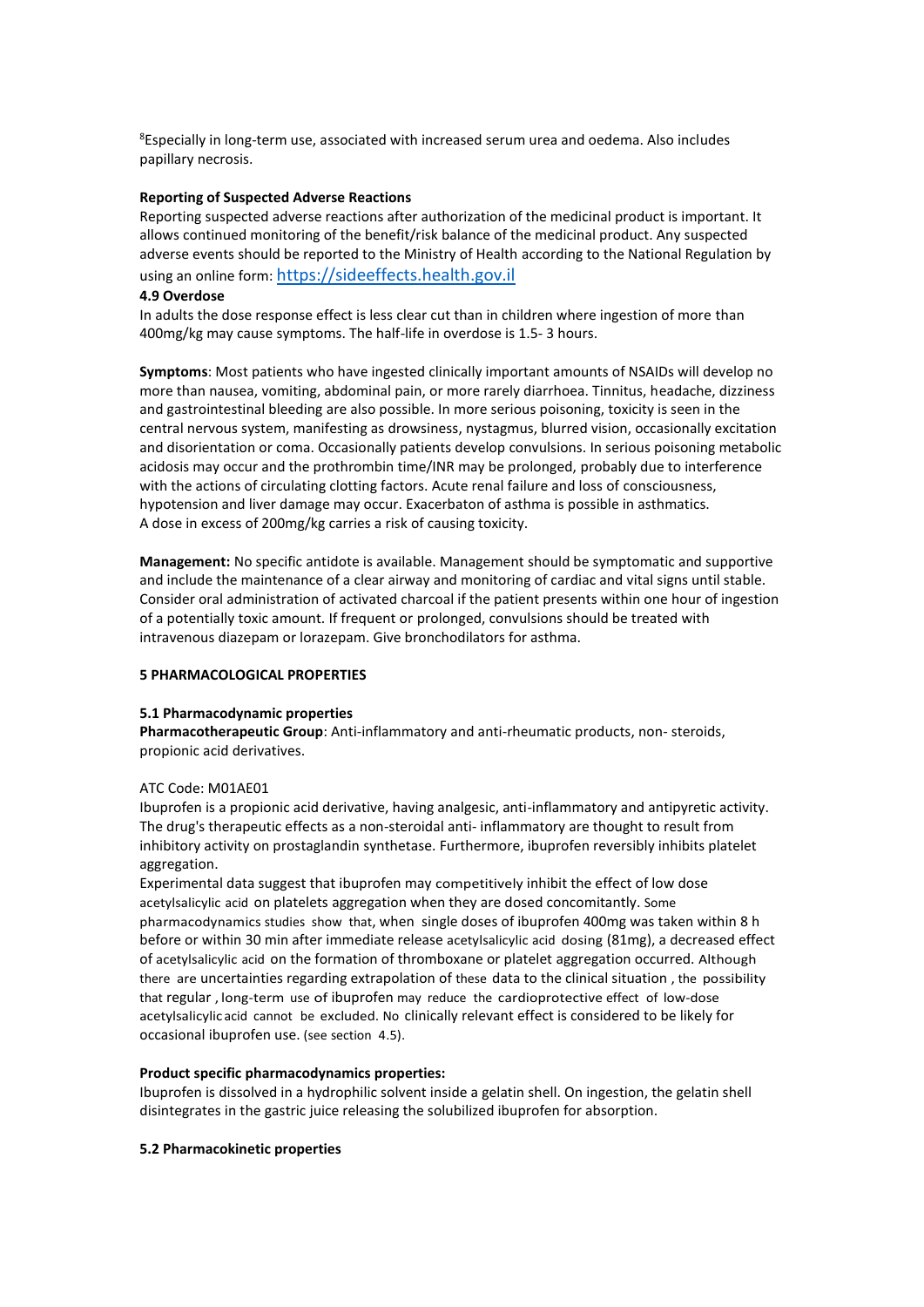<sup>8</sup>Especially in long-term use, associated with increased serum urea and oedema. Also includes papillary necrosis.

### **Reporting of Suspected Adverse Reactions**

Reporting suspected adverse reactions after authorization of the medicinal product is important. It allows continued monitoring of the benefit/risk balance of the medicinal product. Any suspected adverse events should be reported to the Ministry of Health according to the National Regulation by using an online form: [https://sideeffects.health.gov.il](https://sideeffects.health.gov.il/)

### **4.9 Overdose**

In adults the dose response effect is less clear cut than in children where ingestion of more than 400mg/kg may cause symptoms. The half-life in overdose is 1.5- 3 hours.

**Symptoms**: Most patients who have ingested clinically important amounts of NSAIDs will develop no more than nausea, vomiting, abdominal pain, or more rarely diarrhoea. Tinnitus, headache, dizziness and gastrointestinal bleeding are also possible. In more serious poisoning, toxicity is seen in the central nervous system, manifesting as drowsiness, nystagmus, blurred vision, occasionally excitation and disorientation or coma. Occasionally patients develop convulsions. In serious poisoning metabolic acidosis may occur and the prothrombin time/INR may be prolonged, probably due to interference with the actions of circulating clotting factors. Acute renal failure and loss of consciousness, hypotension and liver damage may occur. Exacerbaton of asthma is possible in asthmatics. A dose in excess of 200mg/kg carries a risk of causing toxicity.

**Management:** No specific antidote is available. Management should be symptomatic and supportive and include the maintenance of a clear airway and monitoring of cardiac and vital signs until stable. Consider oral administration of activated charcoal if the patient presents within one hour of ingestion of a potentially toxic amount. If frequent or prolonged, convulsions should be treated with intravenous diazepam or lorazepam. Give bronchodilators for asthma.

## **5 PHARMACOLOGICAL PROPERTIES**

#### **5.1 Pharmacodynamic properties**

**Pharmacotherapeutic Group**: Anti-inflammatory and anti-rheumatic products, non- steroids, propionic acid derivatives.

## ATC Code: M01AE01

Ibuprofen is a propionic acid derivative, having analgesic, anti-inflammatory and antipyretic activity. The drug's therapeutic effects as a non-steroidal anti- inflammatory are thought to result from inhibitory activity on prostaglandin synthetase. Furthermore, ibuprofen reversibly inhibits platelet aggregation.

Experimental data suggest that ibuprofen may competitively inhibit the effect of low dose acetylsalicylic acid on platelets aggregation when they are dosed concomitantly. Some pharmacodynamics studies show that, when single doses of ibuprofen 400mg was taken within 8 h before or within 30 min after immediate release acetylsalicylic acid dosing (81mg), a decreased effect of acetylsalicylic acid on the formation of thromboxane or platelet aggregation occurred. Although there are uncertainties regarding extrapolation of these data to the clinical situation , the possibility that regular , long-term use of ibuprofen may reduce the cardioprotective effect of low-dose acetylsalicylic acid cannot be excluded. No clinically relevant effect is considered to be likely for occasional ibuprofen use. (see section 4.5).

## **Product specific pharmacodynamics properties:**

Ibuprofen is dissolved in a hydrophilic solvent inside a gelatin shell. On ingestion, the gelatin shell disintegrates in the gastric juice releasing the solubilized ibuprofen for absorption.

#### **5.2 Pharmacokinetic properties**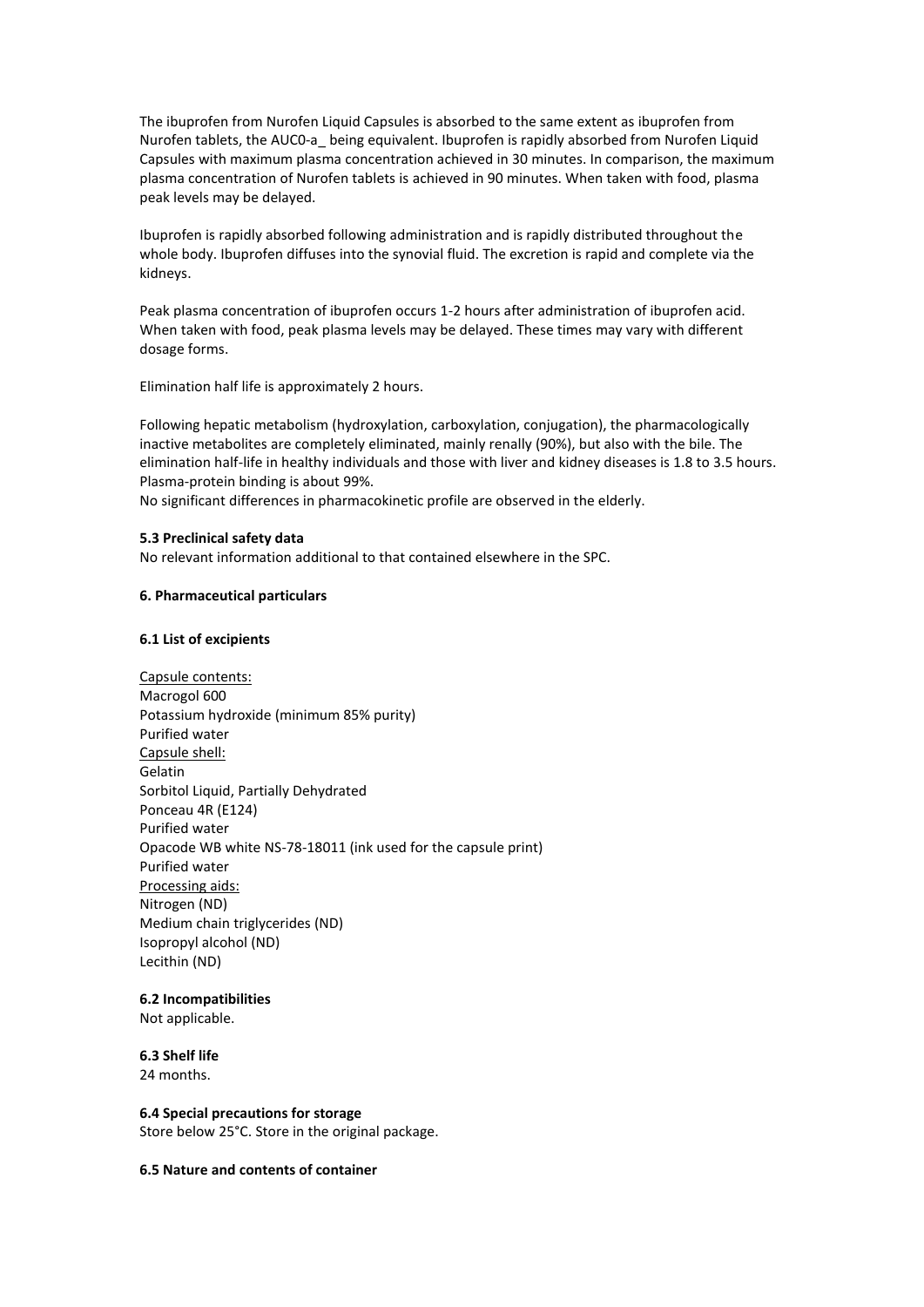The ibuprofen from Nurofen Liquid Capsules is absorbed to the same extent as ibuprofen from Nurofen tablets, the AUC0-a\_ being equivalent. Ibuprofen is rapidly absorbed from Nurofen Liquid Capsules with maximum plasma concentration achieved in 30 minutes. In comparison, the maximum plasma concentration of Nurofen tablets is achieved in 90 minutes. When taken with food, plasma peak levels may be delayed.

Ibuprofen is rapidly absorbed following administration and is rapidly distributed throughout the whole body. Ibuprofen diffuses into the synovial fluid. The excretion is rapid and complete via the kidneys.

Peak plasma concentration of ibuprofen occurs 1-2 hours after administration of ibuprofen acid. When taken with food, peak plasma levels may be delayed. These times may vary with different dosage forms.

Elimination half life is approximately 2 hours.

Following hepatic metabolism (hydroxylation, carboxylation, conjugation), the pharmacologically inactive metabolites are completely eliminated, mainly renally (90%), but also with the bile. The elimination half-life in healthy individuals and those with liver and kidney diseases is 1.8 to 3.5 hours. Plasma-protein binding is about 99%.

No significant differences in pharmacokinetic profile are observed in the elderly.

#### **5.3 Preclinical safety data**

No relevant information additional to that contained elsewhere in the SPC.

#### **6. Pharmaceutical particulars**

#### **6.1 List of excipients**

Capsule contents: Macrogol 600 Potassium hydroxide (minimum 85% purity) Purified water Capsule shell: Gelatin Sorbitol Liquid, Partially Dehydrated Ponceau 4R (E124) Purified water Opacode WB white NS-78-18011 (ink used for the capsule print) Purified water Processing aids: Nitrogen (ND) Medium chain triglycerides (ND) Isopropyl alcohol (ND) Lecithin (ND)

#### **6.2 Incompatibilities**

Not applicable.

## **6.3 Shelf life**

24 months.

#### **6.4 Special precautions for storage** Store below 25°C. Store in the original package.

#### **6.5 Nature and contents of container**